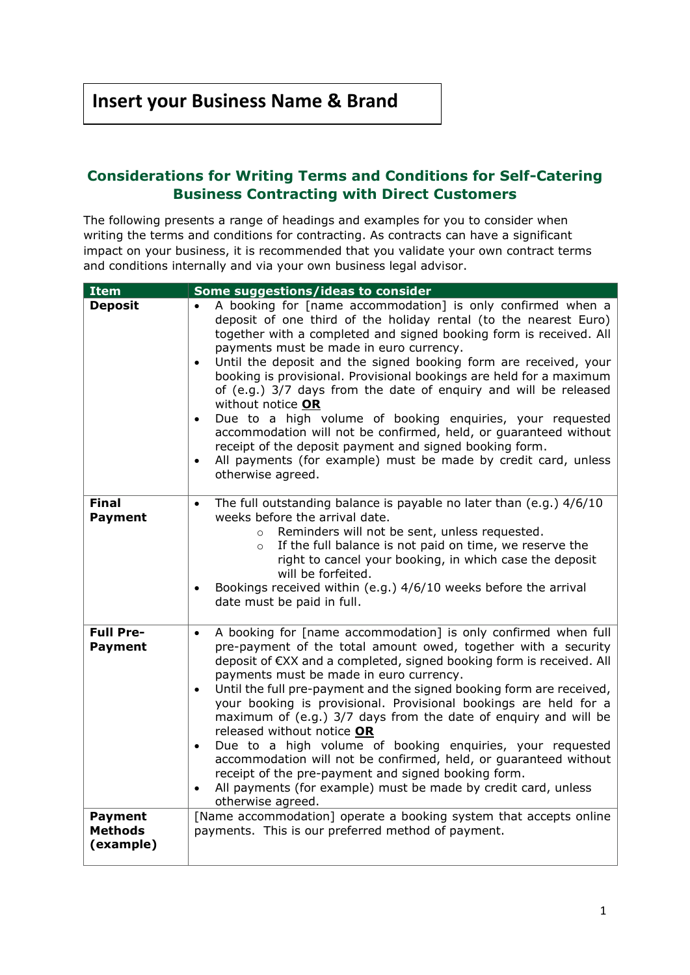## **Considerations for Writing Terms and Conditions for Self-Catering Business Contracting with Direct Customers**

The following presents a range of headings and examples for you to consider when writing the terms and conditions for contracting. As contracts can have a significant impact on your business, it is recommended that you validate your own contract terms and conditions internally and via your own business legal advisor.

| <b>Item</b>                                   | Some suggestions/ideas to consider                                                                                                                                                                                                                                                                                                                                                                                                                                                                                                                                                                                                                                                                                                                                                                                                  |
|-----------------------------------------------|-------------------------------------------------------------------------------------------------------------------------------------------------------------------------------------------------------------------------------------------------------------------------------------------------------------------------------------------------------------------------------------------------------------------------------------------------------------------------------------------------------------------------------------------------------------------------------------------------------------------------------------------------------------------------------------------------------------------------------------------------------------------------------------------------------------------------------------|
| <b>Deposit</b>                                | A booking for [name accommodation] is only confirmed when a<br>$\bullet$<br>deposit of one third of the holiday rental (to the nearest Euro)<br>together with a completed and signed booking form is received. All<br>payments must be made in euro currency.<br>Until the deposit and the signed booking form are received, your<br>$\bullet$<br>booking is provisional. Provisional bookings are held for a maximum<br>of (e.g.) 3/7 days from the date of enquiry and will be released<br>without notice OR<br>Due to a high volume of booking enquiries, your requested<br>$\bullet$<br>accommodation will not be confirmed, held, or guaranteed without<br>receipt of the deposit payment and signed booking form.<br>All payments (for example) must be made by credit card, unless<br>$\bullet$<br>otherwise agreed.         |
| <b>Final</b><br><b>Payment</b>                | The full outstanding balance is payable no later than (e.g.) 4/6/10<br>$\bullet$<br>weeks before the arrival date.<br>Reminders will not be sent, unless requested.<br>$\circ$<br>If the full balance is not paid on time, we reserve the<br>$\circ$<br>right to cancel your booking, in which case the deposit<br>will be forfeited.<br>Bookings received within (e.g.) 4/6/10 weeks before the arrival<br>date must be paid in full.                                                                                                                                                                                                                                                                                                                                                                                              |
| <b>Full Pre-</b><br><b>Payment</b>            | A booking for [name accommodation] is only confirmed when full<br>$\bullet$<br>pre-payment of the total amount owed, together with a security<br>deposit of €XX and a completed, signed booking form is received. All<br>payments must be made in euro currency.<br>Until the full pre-payment and the signed booking form are received,<br>$\bullet$<br>your booking is provisional. Provisional bookings are held for a<br>maximum of (e.g.) 3/7 days from the date of enquiry and will be<br>released without notice OR<br>Due to a high volume of booking enquiries, your requested<br>$\bullet$<br>accommodation will not be confirmed, held, or guaranteed without<br>receipt of the pre-payment and signed booking form.<br>All payments (for example) must be made by credit card, unless<br>$\bullet$<br>otherwise agreed. |
| <b>Payment</b><br><b>Methods</b><br>(example) | [Name accommodation] operate a booking system that accepts online<br>payments. This is our preferred method of payment.                                                                                                                                                                                                                                                                                                                                                                                                                                                                                                                                                                                                                                                                                                             |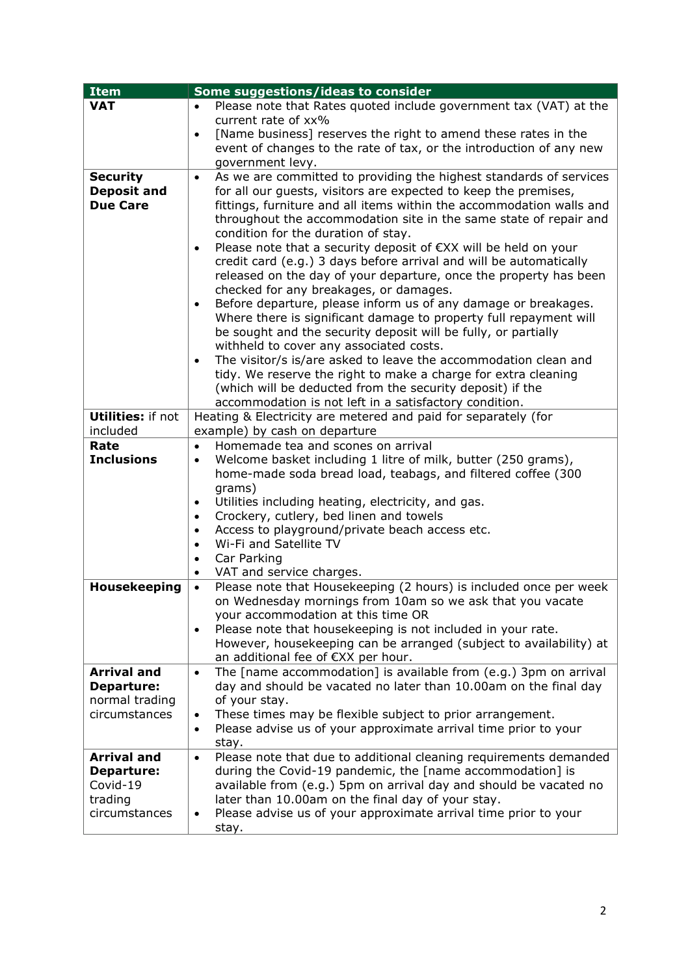| Please note that Rates quoted include government tax (VAT) at the<br><b>VAT</b><br>$\bullet$<br>current rate of xx%<br>[Name business] reserves the right to amend these rates in the<br>$\bullet$<br>event of changes to the rate of tax, or the introduction of any new |  |
|---------------------------------------------------------------------------------------------------------------------------------------------------------------------------------------------------------------------------------------------------------------------------|--|
|                                                                                                                                                                                                                                                                           |  |
|                                                                                                                                                                                                                                                                           |  |
|                                                                                                                                                                                                                                                                           |  |
|                                                                                                                                                                                                                                                                           |  |
| government levy.                                                                                                                                                                                                                                                          |  |
| As we are committed to providing the highest standards of services<br><b>Security</b><br>$\bullet$                                                                                                                                                                        |  |
| <b>Deposit and</b><br>for all our guests, visitors are expected to keep the premises,                                                                                                                                                                                     |  |
| <b>Due Care</b><br>fittings, furniture and all items within the accommodation walls and                                                                                                                                                                                   |  |
| throughout the accommodation site in the same state of repair and                                                                                                                                                                                                         |  |
| condition for the duration of stay.                                                                                                                                                                                                                                       |  |
| Please note that a security deposit of €XX will be held on your<br>$\bullet$                                                                                                                                                                                              |  |
| credit card (e.g.) 3 days before arrival and will be automatically                                                                                                                                                                                                        |  |
| released on the day of your departure, once the property has been                                                                                                                                                                                                         |  |
| checked for any breakages, or damages.<br>Before departure, please inform us of any damage or breakages.                                                                                                                                                                  |  |
| $\bullet$<br>Where there is significant damage to property full repayment will                                                                                                                                                                                            |  |
| be sought and the security deposit will be fully, or partially                                                                                                                                                                                                            |  |
| withheld to cover any associated costs.                                                                                                                                                                                                                                   |  |
| The visitor/s is/are asked to leave the accommodation clean and<br>$\bullet$                                                                                                                                                                                              |  |
| tidy. We reserve the right to make a charge for extra cleaning                                                                                                                                                                                                            |  |
| (which will be deducted from the security deposit) if the                                                                                                                                                                                                                 |  |
| accommodation is not left in a satisfactory condition.                                                                                                                                                                                                                    |  |
| <b>Utilities: if not</b><br>Heating & Electricity are metered and paid for separately (for                                                                                                                                                                                |  |
| example) by cash on departure<br>included                                                                                                                                                                                                                                 |  |
| Rate<br>Homemade tea and scones on arrival<br>$\bullet$                                                                                                                                                                                                                   |  |
| <b>Inclusions</b><br>Welcome basket including 1 litre of milk, butter (250 grams),<br>$\bullet$                                                                                                                                                                           |  |
| home-made soda bread load, teabags, and filtered coffee (300                                                                                                                                                                                                              |  |
| grams)                                                                                                                                                                                                                                                                    |  |
| Utilities including heating, electricity, and gas.<br>$\bullet$                                                                                                                                                                                                           |  |
| Crockery, cutlery, bed linen and towels<br>$\bullet$                                                                                                                                                                                                                      |  |
| Access to playground/private beach access etc.<br>$\bullet$<br>Wi-Fi and Satellite TV<br>$\bullet$                                                                                                                                                                        |  |
| Car Parking<br>$\bullet$                                                                                                                                                                                                                                                  |  |
| VAT and service charges.<br>$\bullet$                                                                                                                                                                                                                                     |  |
| Please note that Housekeeping (2 hours) is included once per week<br>Housekeeping<br>$\bullet$                                                                                                                                                                            |  |
| on Wednesday mornings from 10am so we ask that you vacate                                                                                                                                                                                                                 |  |
| your accommodation at this time OR                                                                                                                                                                                                                                        |  |
| Please note that housekeeping is not included in your rate.<br>$\bullet$                                                                                                                                                                                                  |  |
| However, housekeeping can be arranged (subject to availability) at                                                                                                                                                                                                        |  |
| an additional fee of €XX per hour.                                                                                                                                                                                                                                        |  |
| <b>Arrival and</b><br>The [name accommodation] is available from (e.g.) 3pm on arrival<br>$\bullet$                                                                                                                                                                       |  |
| day and should be vacated no later than 10.00am on the final day<br><b>Departure:</b>                                                                                                                                                                                     |  |
| normal trading<br>of your stay.                                                                                                                                                                                                                                           |  |
| These times may be flexible subject to prior arrangement.<br>circumstances<br>$\bullet$                                                                                                                                                                                   |  |
| Please advise us of your approximate arrival time prior to your<br>$\bullet$                                                                                                                                                                                              |  |
| stay.                                                                                                                                                                                                                                                                     |  |
| <b>Arrival and</b><br>Please note that due to additional cleaning requirements demanded<br>$\bullet$<br>during the Covid-19 pandemic, the [name accommodation] is<br><b>Departure:</b>                                                                                    |  |
| available from (e.g.) 5pm on arrival day and should be vacated no<br>Covid-19                                                                                                                                                                                             |  |
| trading<br>later than 10.00am on the final day of your stay.                                                                                                                                                                                                              |  |
| Please advise us of your approximate arrival time prior to your<br>circumstances<br>$\bullet$                                                                                                                                                                             |  |
| stay.                                                                                                                                                                                                                                                                     |  |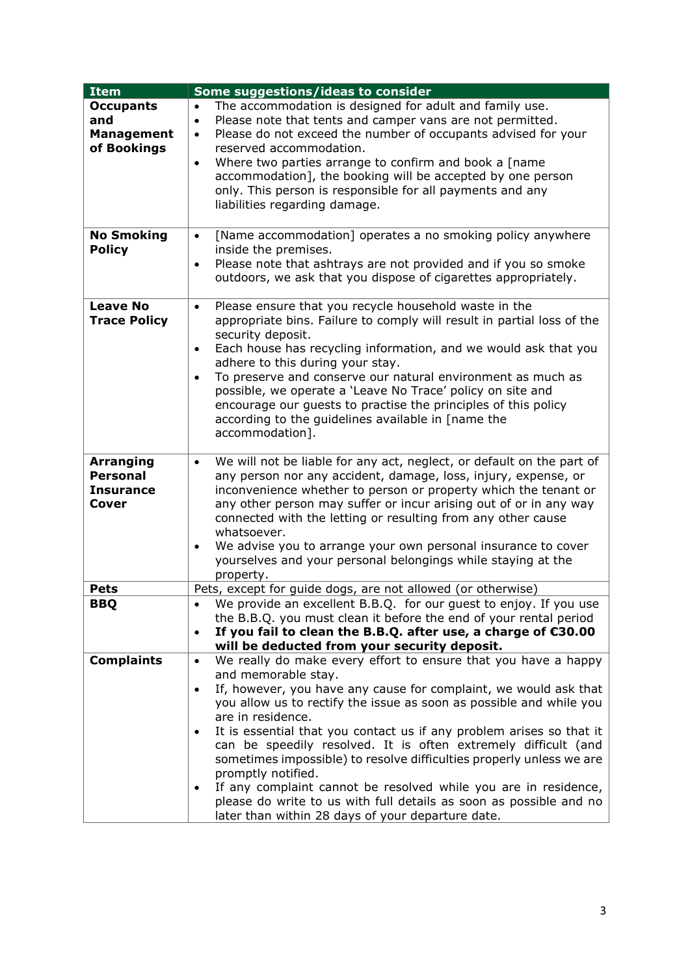| <b>Item</b>                         | Some suggestions/ideas to consider                                                                                                                                                                              |  |  |
|-------------------------------------|-----------------------------------------------------------------------------------------------------------------------------------------------------------------------------------------------------------------|--|--|
| <b>Occupants</b><br>and             | The accommodation is designed for adult and family use.<br>$\bullet$<br>Please note that tents and camper vans are not permitted.<br>$\bullet$<br>Please do not exceed the number of occupants advised for your |  |  |
| <b>Management</b><br>of Bookings    | $\bullet$<br>reserved accommodation.                                                                                                                                                                            |  |  |
|                                     | Where two parties arrange to confirm and book a [name]<br>$\bullet$                                                                                                                                             |  |  |
|                                     | accommodation], the booking will be accepted by one person                                                                                                                                                      |  |  |
|                                     | only. This person is responsible for all payments and any                                                                                                                                                       |  |  |
|                                     | liabilities regarding damage.                                                                                                                                                                                   |  |  |
| <b>No Smoking</b>                   | [Name accommodation] operates a no smoking policy anywhere<br>$\bullet$                                                                                                                                         |  |  |
| <b>Policy</b>                       | inside the premises.                                                                                                                                                                                            |  |  |
|                                     | Please note that ashtrays are not provided and if you so smoke<br>$\bullet$                                                                                                                                     |  |  |
|                                     | outdoors, we ask that you dispose of cigarettes appropriately.                                                                                                                                                  |  |  |
| <b>Leave No</b>                     | Please ensure that you recycle household waste in the<br>$\bullet$                                                                                                                                              |  |  |
| <b>Trace Policy</b>                 | appropriate bins. Failure to comply will result in partial loss of the                                                                                                                                          |  |  |
|                                     | security deposit.                                                                                                                                                                                               |  |  |
|                                     | Each house has recycling information, and we would ask that you<br>$\bullet$<br>adhere to this during your stay.                                                                                                |  |  |
|                                     | To preserve and conserve our natural environment as much as<br>$\bullet$                                                                                                                                        |  |  |
|                                     | possible, we operate a 'Leave No Trace' policy on site and                                                                                                                                                      |  |  |
|                                     | encourage our guests to practise the principles of this policy<br>according to the guidelines available in [name the                                                                                            |  |  |
|                                     | accommodation].                                                                                                                                                                                                 |  |  |
|                                     |                                                                                                                                                                                                                 |  |  |
| <b>Arranging</b><br><b>Personal</b> | We will not be liable for any act, neglect, or default on the part of<br>$\bullet$<br>any person nor any accident, damage, loss, injury, expense, or                                                            |  |  |
| <b>Insurance</b>                    | inconvenience whether to person or property which the tenant or                                                                                                                                                 |  |  |
| Cover                               | any other person may suffer or incur arising out of or in any way                                                                                                                                               |  |  |
|                                     | connected with the letting or resulting from any other cause                                                                                                                                                    |  |  |
|                                     | whatsoever.<br>We advise you to arrange your own personal insurance to cover                                                                                                                                    |  |  |
|                                     | $\bullet$<br>yourselves and your personal belongings while staying at the                                                                                                                                       |  |  |
|                                     | property.                                                                                                                                                                                                       |  |  |
| <b>Pets</b>                         | Pets, except for guide dogs, are not allowed (or otherwise)                                                                                                                                                     |  |  |
| BBQ                                 | We provide an excellent B.B.Q. for our guest to enjoy. If you use<br>the B.B.Q. you must clean it before the end of your rental period                                                                          |  |  |
|                                     | If you fail to clean the B.B.Q. after use, a charge of $\epsilon$ 30.00<br>$\bullet$                                                                                                                            |  |  |
|                                     | will be deducted from your security deposit.                                                                                                                                                                    |  |  |
| <b>Complaints</b>                   | We really do make every effort to ensure that you have a happy<br>$\bullet$                                                                                                                                     |  |  |
|                                     | and memorable stay.                                                                                                                                                                                             |  |  |
|                                     | If, however, you have any cause for complaint, we would ask that<br>$\bullet$<br>you allow us to rectify the issue as soon as possible and while you                                                            |  |  |
|                                     | are in residence.                                                                                                                                                                                               |  |  |
|                                     | It is essential that you contact us if any problem arises so that it<br>$\bullet$                                                                                                                               |  |  |
|                                     | can be speedily resolved. It is often extremely difficult (and                                                                                                                                                  |  |  |
|                                     | sometimes impossible) to resolve difficulties properly unless we are<br>promptly notified.                                                                                                                      |  |  |
|                                     | If any complaint cannot be resolved while you are in residence,<br>$\bullet$                                                                                                                                    |  |  |
|                                     | please do write to us with full details as soon as possible and no                                                                                                                                              |  |  |
|                                     | later than within 28 days of your departure date.                                                                                                                                                               |  |  |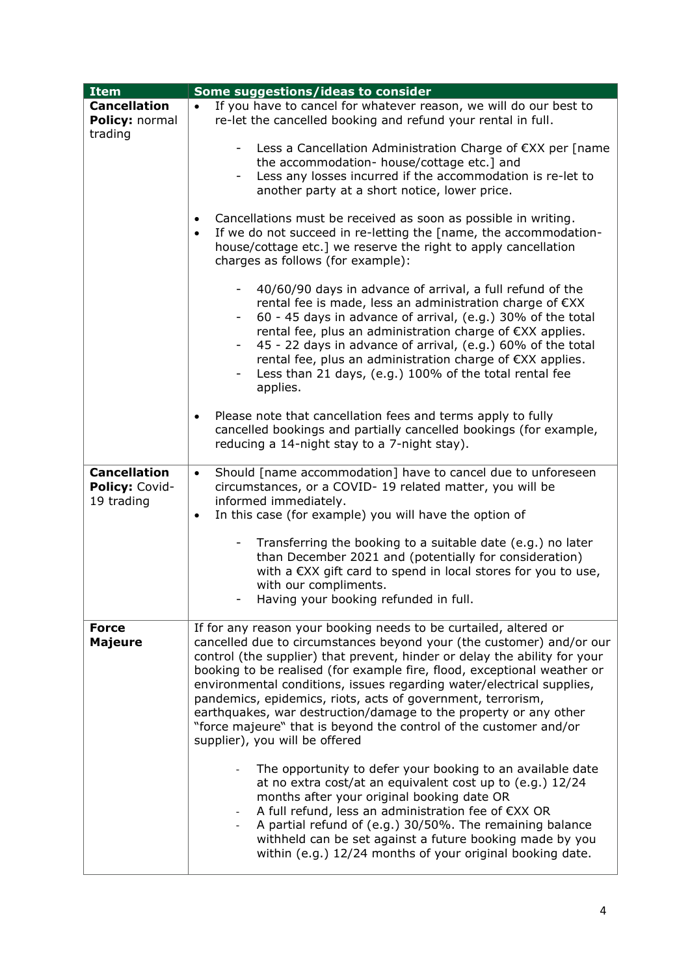| <b>Item</b>         | Some suggestions/ideas to consider                                                      |  |
|---------------------|-----------------------------------------------------------------------------------------|--|
| <b>Cancellation</b> | If you have to cancel for whatever reason, we will do our best to<br>$\bullet$          |  |
| Policy: normal      | re-let the cancelled booking and refund your rental in full.                            |  |
| trading             |                                                                                         |  |
|                     | Less a Cancellation Administration Charge of €XX per [name<br>$\sim$                    |  |
|                     | the accommodation- house/cottage etc.] and                                              |  |
|                     | Less any losses incurred if the accommodation is re-let to<br>$\sim$                    |  |
|                     | another party at a short notice, lower price.                                           |  |
|                     |                                                                                         |  |
|                     | Cancellations must be received as soon as possible in writing.                          |  |
|                     | If we do not succeed in re-letting the [name, the accommodation-<br>$\bullet$           |  |
|                     | house/cottage etc.] we reserve the right to apply cancellation                          |  |
|                     | charges as follows (for example):                                                       |  |
|                     |                                                                                         |  |
|                     | 40/60/90 days in advance of arrival, a full refund of the                               |  |
|                     | rental fee is made, less an administration charge of €XX                                |  |
|                     | 60 - 45 days in advance of arrival, (e.g.) 30% of the total                             |  |
|                     | rental fee, plus an administration charge of €XX applies.                               |  |
|                     | 45 - 22 days in advance of arrival, (e.g.) 60% of the total<br>-                        |  |
|                     | rental fee, plus an administration charge of €XX applies.                               |  |
|                     | Less than 21 days, (e.g.) 100% of the total rental fee<br>Ξ.                            |  |
|                     | applies.                                                                                |  |
|                     |                                                                                         |  |
|                     | Please note that cancellation fees and terms apply to fully<br>$\bullet$                |  |
|                     | cancelled bookings and partially cancelled bookings (for example,                       |  |
|                     | reducing a 14-night stay to a 7-night stay).                                            |  |
| <b>Cancellation</b> | Should [name accommodation] have to cancel due to unforeseen<br>$\bullet$               |  |
| Policy: Covid-      | circumstances, or a COVID-19 related matter, you will be                                |  |
| 19 trading          | informed immediately.                                                                   |  |
|                     | In this case (for example) you will have the option of<br>$\bullet$                     |  |
|                     |                                                                                         |  |
|                     | Transferring the booking to a suitable date (e.g.) no later<br>$\overline{\phantom{a}}$ |  |
|                     | than December 2021 and (potentially for consideration)                                  |  |
|                     | with a €XX gift card to spend in local stores for you to use,                           |  |
|                     | with our compliments.                                                                   |  |
|                     | Having your booking refunded in full.                                                   |  |
|                     |                                                                                         |  |
| <b>Force</b>        | If for any reason your booking needs to be curtailed, altered or                        |  |
| <b>Majeure</b>      | cancelled due to circumstances beyond your (the customer) and/or our                    |  |
|                     | control (the supplier) that prevent, hinder or delay the ability for your               |  |
|                     | booking to be realised (for example fire, flood, exceptional weather or                 |  |
|                     | environmental conditions, issues regarding water/electrical supplies,                   |  |
|                     | pandemics, epidemics, riots, acts of government, terrorism,                             |  |
|                     | earthquakes, war destruction/damage to the property or any other                        |  |
|                     | "force majeure" that is beyond the control of the customer and/or                       |  |
|                     | supplier), you will be offered                                                          |  |
|                     | The opportunity to defer your booking to an available date                              |  |
|                     | at no extra cost/at an equivalent cost up to (e.g.) 12/24                               |  |
|                     | months after your original booking date OR                                              |  |
|                     | A full refund, less an administration fee of €XX OR                                     |  |
|                     | A partial refund of (e.g.) 30/50%. The remaining balance                                |  |
|                     | withheld can be set against a future booking made by you                                |  |
|                     | within (e.g.) 12/24 months of your original booking date.                               |  |
|                     |                                                                                         |  |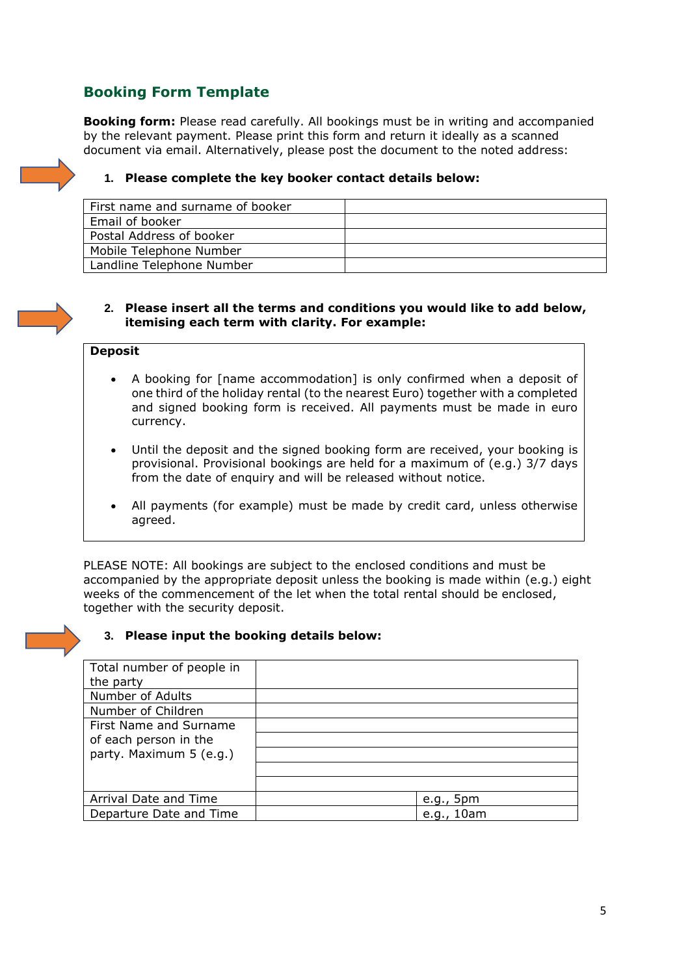# **Booking Form Template**

**Booking form:** Please read carefully. All bookings must be in writing and accompanied by the relevant payment. Please print this form and return it ideally as a scanned document via email. Alternatively, please post the document to the noted address:



| First name and surname of booker |  |
|----------------------------------|--|
| Email of booker                  |  |
| Postal Address of booker         |  |
| Mobile Telephone Number          |  |
| Landline Telephone Number        |  |

#### **2. Please insert all the terms and conditions you would like to add below, itemising each term with clarity. For example:**

#### **Deposit**

- A booking for [name accommodation] is only confirmed when a deposit of one third of the holiday rental (to the nearest Euro) together with a completed and signed booking form is received. All payments must be made in euro currency.
- Until the deposit and the signed booking form are received, your booking is provisional. Provisional bookings are held for a maximum of (e.g.) 3/7 days from the date of enquiry and will be released without notice.
- All payments (for example) must be made by credit card, unless otherwise agreed.

PLEASE NOTE: All bookings are subject to the enclosed conditions and must be accompanied by the appropriate deposit unless the booking is made within (e.g.) eight weeks of the commencement of the let when the total rental should be enclosed, together with the security deposit.

### **3. Please input the booking details below:**

| Total number of people in |              |
|---------------------------|--------------|
| the party                 |              |
| Number of Adults          |              |
| Number of Children        |              |
| First Name and Surname    |              |
| of each person in the     |              |
| party. Maximum 5 (e.g.)   |              |
|                           |              |
|                           |              |
| Arrival Date and Time     | 5pm<br>e.q., |
| Departure Date and Time   | e.g., $10am$ |